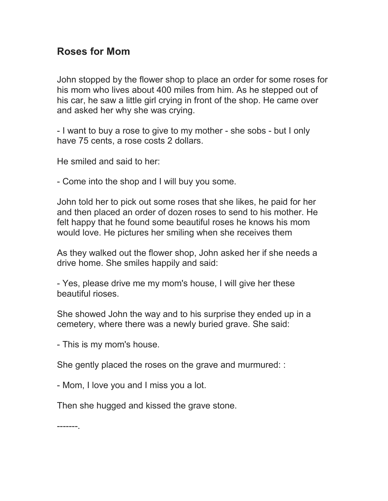## **Roses for Mom**

John stopped by the flower shop to place an order for some roses for his mom who lives about 400 miles from him. As he stepped out of his car, he saw a little girl crying in front of the shop. He came over and asked her why she was crying.

- I want to buy a rose to give to my mother - she sobs - but I only have 75 cents, a rose costs 2 dollars.

He smiled and said to her:

- Come into the shop and I will buy you some.

John told her to pick out some roses that she likes, he paid for her and then placed an order of dozen roses to send to his mother. He felt happy that he found some beautiful roses he knows his mom would love. He pictures her smiling when she receives them

As they walked out the flower shop, John asked her if she needs a drive home. She smiles happily and said:

- Yes, please drive me my mom's house, I will give her these beautiful rioses.

She showed John the way and to his surprise they ended up in a cemetery, where there was a newly buried grave. She said:

- This is my mom's house.

She gently placed the roses on the grave and murmured: :

- Mom, I love you and I miss you a lot.

Then she hugged and kissed the grave stone.

-------.